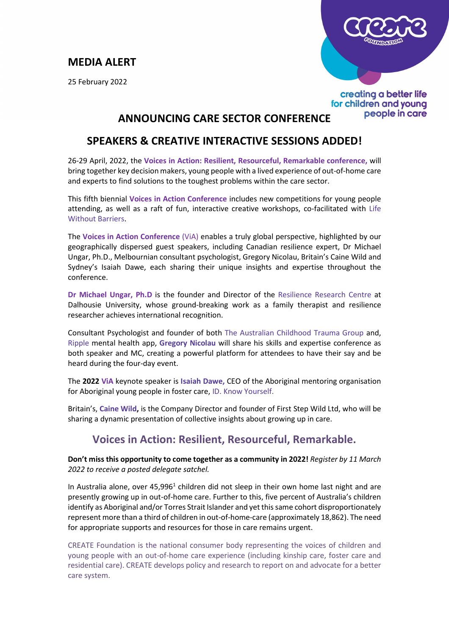## **MEDIA ALERT**

25 February 2022



### creating a better life for children and young people in care

# **ANNOUNCING CARE SECTOR CONFERENCE**

## **SPEAKERS & CREATIVE INTERACTIVE SESSIONS ADDED!**

26-29 April, 2022, the **Voices in Action: Resilient, Resourceful, Remarkable conference,** will bring together key decision makers, young people with a lived experience of out-of-home care and experts to find solutions to the toughest problems within the care sector.

This fifth biennial **Voices in Action Conference** includes new competitions for young people attending, as well as a raft of fun, interactive creative workshops, co-facilitated with [Life](https://www.lwb.org.au/)  [Without Barriers.](https://www.lwb.org.au/)

The **Voices in Action Conference** (ViA) enables a truly global perspective, highlighted by our geographically dispersed guest speakers, including Canadian resilience expert, Dr Michael Ungar, Ph.D., Melbournian consultant psychologist, Gregory Nicolau, Britain's Caine Wild and Sydney's Isaiah Dawe, each sharing their unique insights and expertise throughout the conference.

**Dr Michael Ungar, Ph.D** is the founder and Director of the [Resilience Research Centre](https://resilienceresearch.org/) at Dalhousie University, whose ground-breaking work as a family therapist and resilience researcher achieves international recognition.

Consultant Psychologist and founder of both [The Australian Childhood Trauma Group](https://theactgroup.com.au/our-team/) and, [Ripple](https://ripple.com.au/) mental health app, **[Gregory Nicolau](https://theactgroup.com.au/our-team/)** will share his skills and expertise conference as both speaker and MC, creating a powerful platform for attendees to have their say and be heard during the four-day event.

The **2022 ViA** keynote speaker is **[Isaiah Dawe,](https://idknowyourself.com/about-us/our-story/)** CEO of the Aboriginal mentoring organisation for Aboriginal young people in foster care, [ID. Know Yourself.](https://idknowyourself.com/)

Britain's, **[Caine Wild,](https://www.linkedin.com/in/caine-wild-86b408180/)** is the Company Director and founder of First Step Wild Ltd, who will be sharing a dynamic presentation of collective insights about growing up in care.

## **Voices in Action: Resilient, Resourceful, Remarkable.**

**Don't miss this opportunity to come together as a community in 2022!** *Register by 11 March 2022 to receive a posted delegate satchel.*

In Australia alone, over 45,996<sup>1</sup> children did not sleep in their own home last night and are presently growing up in out-of-home care. Further to this, five percent of Australia's children identify as Aboriginal and/or Torres Strait Islander and yet this same cohort disproportionately represent more than a third of children in out-of-home-care (approximately 18,862). The need for appropriate supports and resources for those in care remains urgent.

CREATE Foundation is the national consumer body representing the voices of children and young people with an out-of-home care experience (including kinship care, foster care and residential care). CREATE develops policy and research to report on and advocate for a better care system.